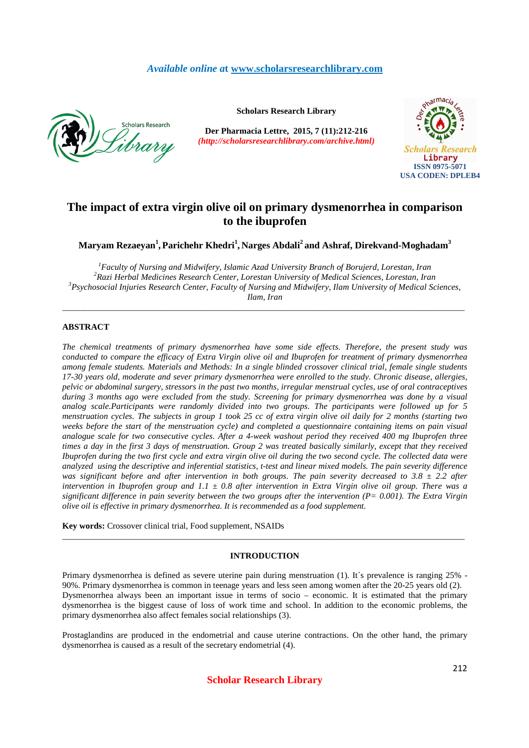## *Available online a***t www.scholarsresearchlibrary.com**



**Scholars Research Library**

**Der Pharmacia Lettre, 2015, 7 (11):212-216** *(http://scholarsresearchlibrary.com/archive.html)*



# **The impact of extra virgin olive oil on primary dysmenorrhea in comparison to the ibuprofen**

**Maryam Rezaeyan<sup>1</sup> ,Parichehr Khedri<sup>1</sup> , Narges Abdali<sup>2</sup>and Ashraf, Direkvand-Moghadam<sup>3</sup>**

*Faculty of Nursing and Midwifery, Islamic Azad University Branch of Borujerd, Lorestan, Iran Razi Herbal Medicines Research Center, Lorestan University of Medical Sciences, Lorestan, Iran Psychosocial Injuries Research Center, Faculty of Nursing and Midwifery, Ilam University of Medical Sciences, Ilam, Iran* 

\_\_\_\_\_\_\_\_\_\_\_\_\_\_\_\_\_\_\_\_\_\_\_\_\_\_\_\_\_\_\_\_\_\_\_\_\_\_\_\_\_\_\_\_\_\_\_\_\_\_\_\_\_\_\_\_\_\_\_\_\_\_\_\_\_\_\_\_\_\_\_\_\_\_\_\_\_\_\_\_\_\_\_\_\_\_\_\_\_\_\_\_\_

## **ABSTRACT**

*The chemical treatments of primary dysmenorrhea have some side effects. Therefore, the present study was conducted to compare the efficacy of Extra Virgin olive oil and Ibuprofen for treatment of primary dysmenorrhea among female students. Materials and Methods: In a single blinded crossover clinical trial, female single students 17-30 years old, moderate and sever primary dysmenorrhea were enrolled to the study. Chronic disease, allergies, pelvic or abdominal surgery, stressors in the past two months, irregular menstrual cycles, use of oral contraceptives during 3 months ago were excluded from the study. Screening for primary dysmenorrhea was done by a visual analog scale.Participants were randomly divided into two groups. The participants were followed up for 5 menstruation cycles. The subjects in group 1 took 25 cc of extra virgin olive oil daily for 2 months (starting two weeks before the start of the menstruation cycle) and completed a questionnaire containing items on pain visual analogue scale for two consecutive cycles. After a 4-week washout period they received 400 mg Ibuprofen three times a day in the first 3 days of menstruation. Group 2 was treated basically similarly, except that they received Ibuprofen during the two first cycle and extra virgin olive oil during the two second cycle. The collected data were analyzed using the descriptive and inferential statistics, t-test and linear mixed models. The pain severity difference was significant before and after intervention in both groups. The pain severity decreased to 3.8*  $\pm$  *2.2 after intervention in Ibuprofen group and 1.1 ± 0.8 after intervention in Extra Virgin olive oil group. There was a significant difference in pain severity between the two groups after the intervention (P= 0.001). The Extra Virgin olive oil is effective in primary dysmenorrhea. It is recommended as a food supplement.* 

**Key words:** Crossover clinical trial, Food supplement, NSAIDs

#### **INTRODUCTION**

\_\_\_\_\_\_\_\_\_\_\_\_\_\_\_\_\_\_\_\_\_\_\_\_\_\_\_\_\_\_\_\_\_\_\_\_\_\_\_\_\_\_\_\_\_\_\_\_\_\_\_\_\_\_\_\_\_\_\_\_\_\_\_\_\_\_\_\_\_\_\_\_\_\_\_\_\_\_\_\_\_\_\_\_\_\_\_\_\_\_\_\_\_

Primary dysmenorrhea is defined as severe uterine pain during menstruation (1). It's prevalence is ranging 25% -90%. Primary dysmenorrhea is common in teenage years and less seen among women after the 20-25 years old (2). Dysmenorrhea always been an important issue in terms of socio – economic. It is estimated that the primary dysmenorrhea is the biggest cause of loss of work time and school. In addition to the economic problems, the primary dysmenorrhea also affect females social relationships (3).

Prostaglandins are produced in the endometrial and cause uterine contractions. On the other hand, the primary dysmenorrhea is caused as a result of the secretary endometrial (4).

**Scholar Research Library**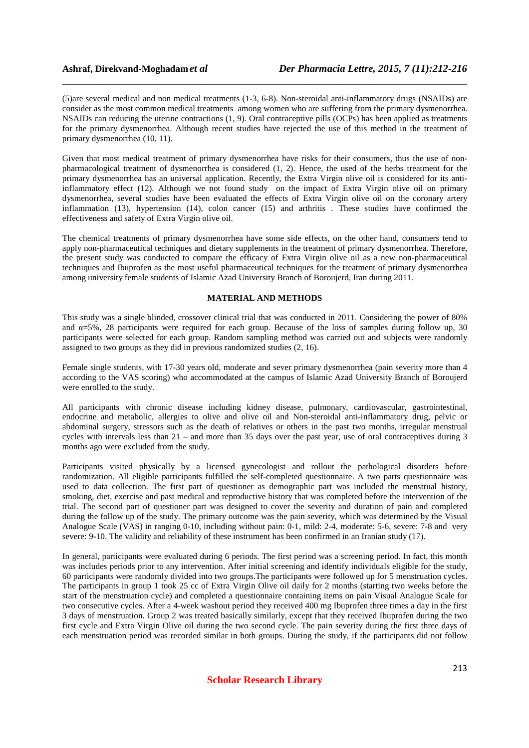(5)are several medical and non medical treatments (1-3, 6-8). Non-steroidal anti-inflammatory drugs (NSAIDs) are consider as the most common medical treatments among women who are suffering from the primary dysmenorrhea. NSAIDs can reducing the uterine contractions (1, 9). Oral contraceptive pills (OCPs) has been applied as treatments for the primary dysmenorrhea. Although recent studies have rejected the use of this method in the treatment of primary dysmenorrhea (10, 11).

\_\_\_\_\_\_\_\_\_\_\_\_\_\_\_\_\_\_\_\_\_\_\_\_\_\_\_\_\_\_\_\_\_\_\_\_\_\_\_\_\_\_\_\_\_\_\_\_\_\_\_\_\_\_\_\_\_\_\_\_\_\_\_\_\_\_\_\_\_\_\_\_\_\_\_\_\_\_

Given that most medical treatment of primary dysmenorrhea have risks for their consumers, thus the use of nonpharmacological treatment of dysmenorrhea is considered (1, 2). Hence, the used of the herbs treatment for the primary dysmenorrhea has an universal application. Recently, the Extra Virgin olive oil is considered for its antiinflammatory effect (12). Although we not found study on the impact of Extra Virgin olive oil on primary dysmenorrhea, several studies have been evaluated the effects of Extra Virgin olive oil on the coronary artery inflammation (13), hypertension (14), colon cancer (15) and arthritis . These studies have confirmed the effectiveness and safety of Extra Virgin olive oil.

The chemical treatments of primary dysmenorrhea have some side effects, on the other hand, consumers tend to apply non-pharmaceutical techniques and dietary supplements in the treatment of primary dysmenorrhea. Therefore, the present study was conducted to compare the efficacy of Extra Virgin olive oil as a new non-pharmaceutical techniques and Ibuprofen as the most useful pharmaceutical techniques for the treatment of primary dysmenorrhea among university female students of Islamic Azad University Branch of Boroujerd, Iran during 2011.

## **MATERIAL AND METHODS**

This study was a single blinded, crossover clinical trial that was conducted in 2011. Considering the power of 80% and  $\alpha = 5\%$ , 28 participants were required for each group. Because of the loss of samples during follow up, 30 participants were selected for each group. Random sampling method was carried out and subjects were randomly assigned to two groups as they did in previous randomized studies (2, 16).

Female single students, with 17-30 years old, moderate and sever primary dysmenorrhea (pain severity more than 4 according to the VAS scoring) who accommodated at the campus of Islamic Azad University Branch of Boroujerd were enrolled to the study.

All participants with chronic disease including kidney disease, pulmonary, cardiovascular, gastrointestinal, endocrine and metabolic, allergies to olive and olive oil and Non-steroidal anti-inflammatory drug, pelvic or abdominal surgery, stressors such as the death of relatives or others in the past two months, irregular menstrual cycles with intervals less than 21 – and more than 35 days over the past year, use of oral contraceptives during 3 months ago were excluded from the study.

Participants visited physically by a licensed gynecologist and rollout the pathological disorders before randomization. All eligible participants fulfilled the self-completed questionnaire. A two parts questionnaire was used to data collection. The first part of questioner as demographic part was included the menstrual history, smoking, diet, exercise and past medical and reproductive history that was completed before the intervention of the trial. The second part of questioner part was designed to cover the severity and duration of pain and completed during the follow up of the study. The primary outcome was the pain severity, which was determined by the Visual Analogue Scale (VAS) in ranging 0-10, including without pain: 0-1, mild: 2-4, moderate: 5-6, severe: 7-8 and very severe: 9-10. The validity and reliability of these instrument has been confirmed in an Iranian study (17).

In general, participants were evaluated during 6 periods. The first period was a screening period. In fact, this month was includes periods prior to any intervention. After initial screening and identify individuals eligible for the study, 60 participants were randomly divided into two groups.The participants were followed up for 5 menstruation cycles. The participants in group 1 took 25 cc of Extra Virgin Olive oil daily for 2 months (starting two weeks before the start of the menstruation cycle) and completed a questionnaire containing items on pain Visual Analogue Scale for two consecutive cycles. After a 4-week washout period they received 400 mg Ibuprofen three times a day in the first 3 days of menstruation. Group 2 was treated basically similarly, except that they received Ibuprofen during the two first cycle and Extra Virgin Olive oil during the two second cycle. The pain severity during the first three days of each menstruation period was recorded similar in both groups. During the study, if the participants did not follow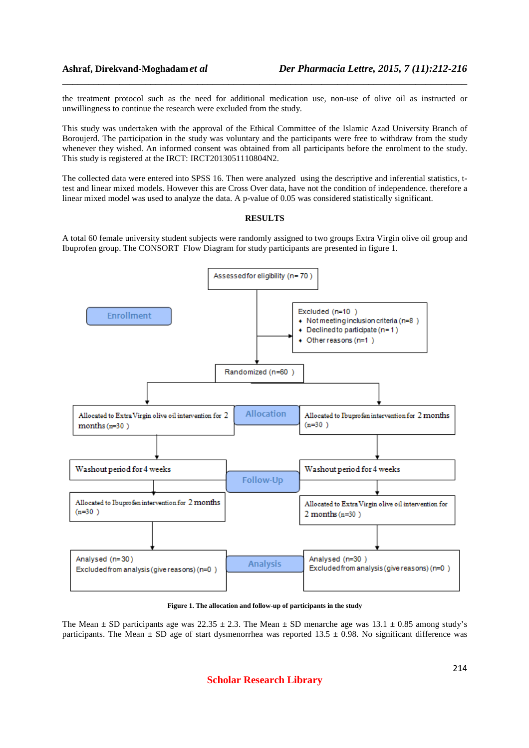the treatment protocol such as the need for additional medication use, non-use of olive oil as instructed or unwillingness to continue the research were excluded from the study.

\_\_\_\_\_\_\_\_\_\_\_\_\_\_\_\_\_\_\_\_\_\_\_\_\_\_\_\_\_\_\_\_\_\_\_\_\_\_\_\_\_\_\_\_\_\_\_\_\_\_\_\_\_\_\_\_\_\_\_\_\_\_\_\_\_\_\_\_\_\_\_\_\_\_\_\_\_\_

This study was undertaken with the approval of the Ethical Committee of the Islamic Azad University Branch of Boroujerd. The participation in the study was voluntary and the participants were free to withdraw from the study whenever they wished. An informed consent was obtained from all participants before the enrolment to the study. This study is registered at the IRCT: IRCT2013051110804N2.

The collected data were entered into SPSS 16. Then were analyzed using the descriptive and inferential statistics, ttest and linear mixed models. However this are Cross Over data, have not the condition of independence. therefore a linear mixed model was used to analyze the data. A p-value of 0.05 was considered statistically significant.

## **RESULTS**

A total 60 female university student subjects were randomly assigned to two groups Extra Virgin olive oil group and Ibuprofen group. The CONSORT Flow Diagram for study participants are presented in figure 1.



**Figure 1. The allocation and follow-up of participants in the study** 

The Mean  $\pm$  SD participants age was 22.35  $\pm$  2.3. The Mean  $\pm$  SD menarche age was 13.1  $\pm$  0.85 among study's participants. The Mean  $\pm$  SD age of start dysmenorrhea was reported 13.5  $\pm$  0.98. No significant difference was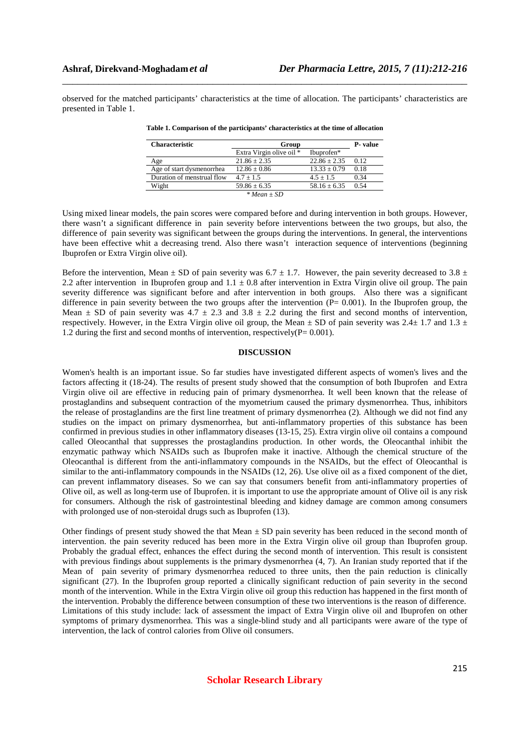observed for the matched participants' characteristics at the time of allocation. The participants' characteristics are presented in Table 1.

\_\_\_\_\_\_\_\_\_\_\_\_\_\_\_\_\_\_\_\_\_\_\_\_\_\_\_\_\_\_\_\_\_\_\_\_\_\_\_\_\_\_\_\_\_\_\_\_\_\_\_\_\_\_\_\_\_\_\_\_\_\_\_\_\_\_\_\_\_\_\_\_\_\_\_\_\_\_

| <b>Characteristic</b>      | Group                    |                  | <b>P</b> -value |
|----------------------------|--------------------------|------------------|-----------------|
|                            | Extra Virgin olive oil * | Ibuprofen*       |                 |
| Age                        | $21.86 \pm 2.35$         | $22.86 \pm 2.35$ | 0.12            |
| Age of start dysmenorrhea  | $12.86 \pm 0.86$         | $13.33 \pm 0.79$ | 0.18            |
| Duration of menstrual flow | $4.7 + 1.5$              | $4.5 + 1.5$      | 0.34            |
| Wight                      | $59.86 \pm 6.35$         | $58.16 \pm 6.35$ | 0.54            |
|                            | $* Mean + SD$            |                  |                 |

**Table 1. Comparison of the participants' characteristics at the time of allocation** 

Using mixed linear models, the pain scores were compared before and during intervention in both groups. However, there wasn't a significant difference in pain severity before interventions between the two groups, but also, the difference of pain severity was significant between the groups during the interventions. In general, the interventions have been effective whit a decreasing trend. Also there wasn't interaction sequence of interventions (beginning Ibuprofen or Extra Virgin olive oil).

Before the intervention, Mean  $\pm$  SD of pain severity was 6.7  $\pm$  1.7. However, the pain severity decreased to 3.8  $\pm$ 2.2 after intervention in Ibuprofen group and  $1.1 \pm 0.8$  after intervention in Extra Virgin olive oil group. The pain severity difference was significant before and after intervention in both groups. Also there was a significant difference in pain severity between the two groups after the intervention  $(P= 0.001)$ . In the Ibuprofen group, the Mean  $\pm$  SD of pain severity was 4.7  $\pm$  2.3 and 3.8  $\pm$  2.2 during the first and second months of intervention, respectively. However, in the Extra Virgin olive oil group, the Mean  $\pm$  SD of pain severity was 2.4 $\pm$  1.7 and 1.3  $\pm$ 1.2 during the first and second months of intervention, respectively(P= 0.001).

#### **DISCUSSION**

Women's health is an important issue. So far studies have investigated different aspects of women's lives and the factors affecting it (18-24). The results of present study showed that the consumption of both Ibuprofen and Extra Virgin olive oil are effective in reducing pain of primary dysmenorrhea. It well been known that the release of prostaglandins and subsequent contraction of the myometrium caused the primary dysmenorrhea. Thus, inhibitors the release of prostaglandins are the first line treatment of primary dysmenorrhea (2). Although we did not find any studies on the impact on primary dysmenorrhea, but anti-inflammatory properties of this substance has been confirmed in previous studies in other inflammatory diseases (13-15, 25). Extra virgin olive oil contains a compound called Oleocanthal that suppresses the prostaglandins production. In other words, the Oleocanthal inhibit the enzymatic pathway which NSAIDs such as Ibuprofen make it inactive. Although the chemical structure of the Oleocanthal is different from the anti-inflammatory compounds in the NSAIDs, but the effect of Oleocanthal is similar to the anti-inflammatory compounds in the NSAIDs (12, 26). Use olive oil as a fixed component of the diet, can prevent inflammatory diseases. So we can say that consumers benefit from anti-inflammatory properties of Olive oil, as well as long-term use of Ibuprofen. it is important to use the appropriate amount of Olive oil is any risk for consumers. Although the risk of gastrointestinal bleeding and kidney damage are common among consumers with prolonged use of non-steroidal drugs such as Ibuprofen (13).

Other findings of present study showed the that Mean  $\pm$  SD pain severity has been reduced in the second month of intervention. the pain severity reduced has been more in the Extra Virgin olive oil group than Ibuprofen group. Probably the gradual effect, enhances the effect during the second month of intervention. This result is consistent with previous findings about supplements is the primary dysmenorrhea  $(4, 7)$ . An Iranian study reported that if the Mean of pain severity of primary dysmenorrhea reduced to three units, then the pain reduction is clinically significant (27). In the Ibuprofen group reported a clinically significant reduction of pain severity in the second month of the intervention. While in the Extra Virgin olive oil group this reduction has happened in the first month of the intervention. Probably the difference between consumption of these two interventions is the reason of difference. Limitations of this study include: lack of assessment the impact of Extra Virgin olive oil and Ibuprofen on other symptoms of primary dysmenorrhea. This was a single-blind study and all participants were aware of the type of intervention, the lack of control calories from Olive oil consumers.